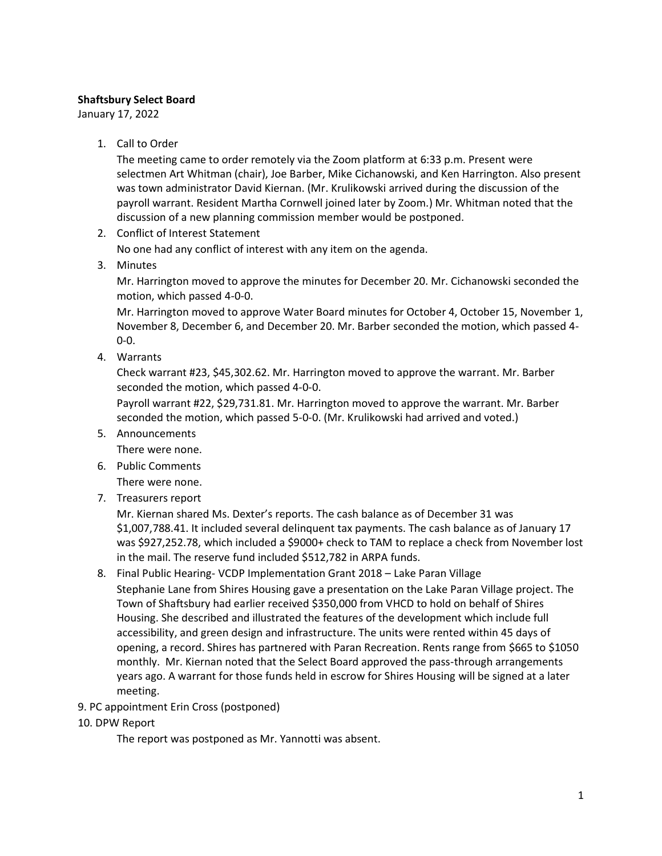# **Shaftsbury Select Board**

January 17, 2022

1. Call to Order

The meeting came to order remotely via the Zoom platform at 6:33 p.m. Present were selectmen Art Whitman (chair), Joe Barber, Mike Cichanowski, and Ken Harrington. Also present was town administrator David Kiernan. (Mr. Krulikowski arrived during the discussion of the payroll warrant. Resident Martha Cornwell joined later by Zoom.) Mr. Whitman noted that the discussion of a new planning commission member would be postponed.

2. Conflict of Interest Statement

No one had any conflict of interest with any item on the agenda.

3. Minutes

Mr. Harrington moved to approve the minutes for December 20. Mr. Cichanowski seconded the motion, which passed 4-0-0.

Mr. Harrington moved to approve Water Board minutes for October 4, October 15, November 1, November 8, December 6, and December 20. Mr. Barber seconded the motion, which passed 4- 0-0.

4. Warrants

Check warrant #23, \$45,302.62. Mr. Harrington moved to approve the warrant. Mr. Barber seconded the motion, which passed 4-0-0.

Payroll warrant #22, \$29,731.81. Mr. Harrington moved to approve the warrant. Mr. Barber seconded the motion, which passed 5-0-0. (Mr. Krulikowski had arrived and voted.)

5. Announcements

There were none.

- 6. Public Comments There were none.
- 7. Treasurers report

Mr. Kiernan shared Ms. Dexter's reports. The cash balance as of December 31 was \$1,007,788.41. It included several delinquent tax payments. The cash balance as of January 17 was \$927,252.78, which included a \$9000+ check to TAM to replace a check from November lost in the mail. The reserve fund included \$512,782 in ARPA funds.

8. Final Public Hearing- VCDP Implementation Grant 2018 – Lake Paran Village

Stephanie Lane from Shires Housing gave a presentation on the Lake Paran Village project. The Town of Shaftsbury had earlier received \$350,000 from VHCD to hold on behalf of Shires Housing. She described and illustrated the features of the development which include full accessibility, and green design and infrastructure. The units were rented within 45 days of opening, a record. Shires has partnered with Paran Recreation. Rents range from \$665 to \$1050 monthly. Mr. Kiernan noted that the Select Board approved the pass-through arrangements years ago. A warrant for those funds held in escrow for Shires Housing will be signed at a later meeting.

- 9. PC appointment Erin Cross (postponed)
- 10. DPW Report

The report was postponed as Mr. Yannotti was absent.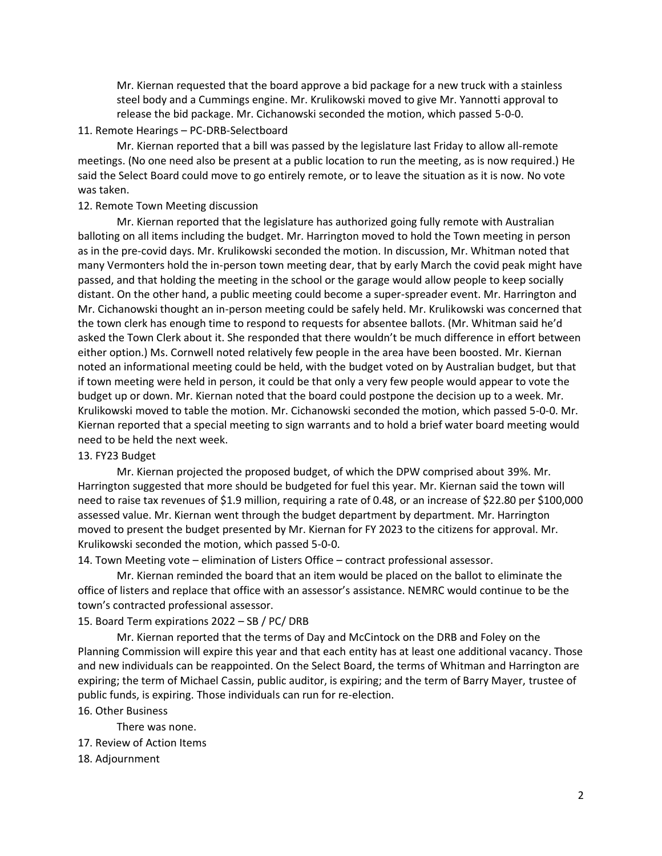Mr. Kiernan requested that the board approve a bid package for a new truck with a stainless steel body and a Cummings engine. Mr. Krulikowski moved to give Mr. Yannotti approval to release the bid package. Mr. Cichanowski seconded the motion, which passed 5-0-0.

# 11. Remote Hearings – PC-DRB-Selectboard

Mr. Kiernan reported that a bill was passed by the legislature last Friday to allow all-remote meetings. (No one need also be present at a public location to run the meeting, as is now required.) He said the Select Board could move to go entirely remote, or to leave the situation as it is now. No vote was taken.

# 12. Remote Town Meeting discussion

Mr. Kiernan reported that the legislature has authorized going fully remote with Australian balloting on all items including the budget. Mr. Harrington moved to hold the Town meeting in person as in the pre-covid days. Mr. Krulikowski seconded the motion. In discussion, Mr. Whitman noted that many Vermonters hold the in-person town meeting dear, that by early March the covid peak might have passed, and that holding the meeting in the school or the garage would allow people to keep socially distant. On the other hand, a public meeting could become a super-spreader event. Mr. Harrington and Mr. Cichanowski thought an in-person meeting could be safely held. Mr. Krulikowski was concerned that the town clerk has enough time to respond to requests for absentee ballots. (Mr. Whitman said he'd asked the Town Clerk about it. She responded that there wouldn't be much difference in effort between either option.) Ms. Cornwell noted relatively few people in the area have been boosted. Mr. Kiernan noted an informational meeting could be held, with the budget voted on by Australian budget, but that if town meeting were held in person, it could be that only a very few people would appear to vote the budget up or down. Mr. Kiernan noted that the board could postpone the decision up to a week. Mr. Krulikowski moved to table the motion. Mr. Cichanowski seconded the motion, which passed 5-0-0. Mr. Kiernan reported that a special meeting to sign warrants and to hold a brief water board meeting would need to be held the next week.

#### 13. FY23 Budget

Mr. Kiernan projected the proposed budget, of which the DPW comprised about 39%. Mr. Harrington suggested that more should be budgeted for fuel this year. Mr. Kiernan said the town will need to raise tax revenues of \$1.9 million, requiring a rate of 0.48, or an increase of \$22.80 per \$100,000 assessed value. Mr. Kiernan went through the budget department by department. Mr. Harrington moved to present the budget presented by Mr. Kiernan for FY 2023 to the citizens for approval. Mr. Krulikowski seconded the motion, which passed 5-0-0.

14. Town Meeting vote – elimination of Listers Office – contract professional assessor.

Mr. Kiernan reminded the board that an item would be placed on the ballot to eliminate the office of listers and replace that office with an assessor's assistance. NEMRC would continue to be the town's contracted professional assessor.

# 15. Board Term expirations 2022 – SB / PC/ DRB

Mr. Kiernan reported that the terms of Day and McCintock on the DRB and Foley on the Planning Commission will expire this year and that each entity has at least one additional vacancy. Those and new individuals can be reappointed. On the Select Board, the terms of Whitman and Harrington are expiring; the term of Michael Cassin, public auditor, is expiring; and the term of Barry Mayer, trustee of public funds, is expiring. Those individuals can run for re-election.

### 16. Other Business

- There was none.
- 17. Review of Action Items
- 18. Adjournment